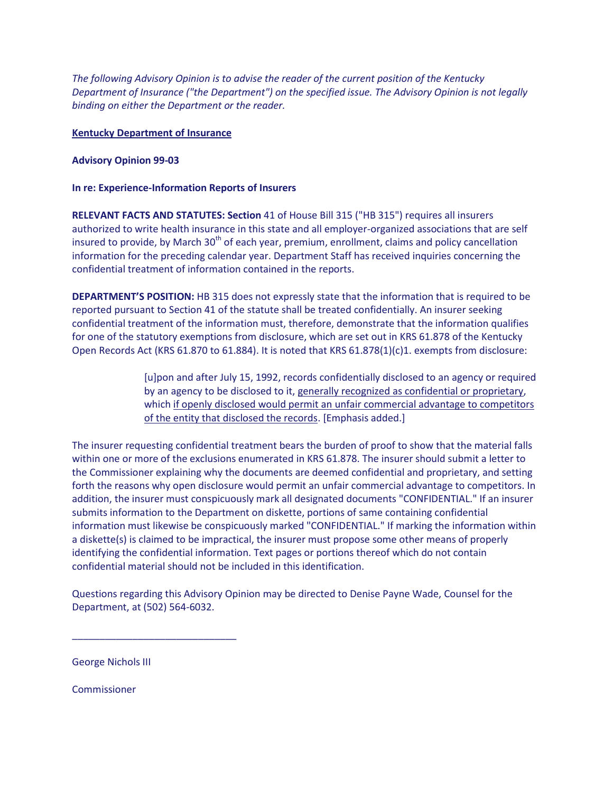*The following Advisory Opinion is to advise the reader of the current position of the Kentucky Department of Insurance ("the Department") on the specified issue. The Advisory Opinion is not legally binding on either the Department or the reader.*

## **Kentucky Department of Insurance**

## **Advisory Opinion 99-03**

## **In re: Experience-Information Reports of Insurers**

**RELEVANT FACTS AND STATUTES: Section** 41 of House Bill 315 ("HB 315") requires all insurers authorized to write health insurance in this state and all employer-organized associations that are self insured to provide, by March 30<sup>th</sup> of each year, premium, enrollment, claims and policy cancellation information for the preceding calendar year. Department Staff has received inquiries concerning the confidential treatment of information contained in the reports.

**DEPARTMENT'S POSITION:** HB 315 does not expressly state that the information that is required to be reported pursuant to Section 41 of the statute shall be treated confidentially. An insurer seeking confidential treatment of the information must, therefore, demonstrate that the information qualifies for one of the statutory exemptions from disclosure, which are set out in KRS 61.878 of the Kentucky Open Records Act (KRS 61.870 to 61.884). It is noted that KRS 61.878(1)(c)1. exempts from disclosure:

> [u]pon and after July 15, 1992, records confidentially disclosed to an agency or required by an agency to be disclosed to it, generally recognized as confidential or proprietary, which if openly disclosed would permit an unfair commercial advantage to competitors of the entity that disclosed the records. [Emphasis added.]

The insurer requesting confidential treatment bears the burden of proof to show that the material falls within one or more of the exclusions enumerated in KRS 61.878. The insurer should submit a letter to the Commissioner explaining why the documents are deemed confidential and proprietary, and setting forth the reasons why open disclosure would permit an unfair commercial advantage to competitors. In addition, the insurer must conspicuously mark all designated documents "CONFIDENTIAL." If an insurer submits information to the Department on diskette, portions of same containing confidential information must likewise be conspicuously marked "CONFIDENTIAL." If marking the information within a diskette(s) is claimed to be impractical, the insurer must propose some other means of properly identifying the confidential information. Text pages or portions thereof which do not contain confidential material should not be included in this identification.

Questions regarding this Advisory Opinion may be directed to Denise Payne Wade, Counsel for the Department, at (502) 564-6032.

George Nichols III

\_\_\_\_\_\_\_\_\_\_\_\_\_\_\_\_\_\_\_\_\_\_\_\_\_\_\_\_\_\_

Commissioner